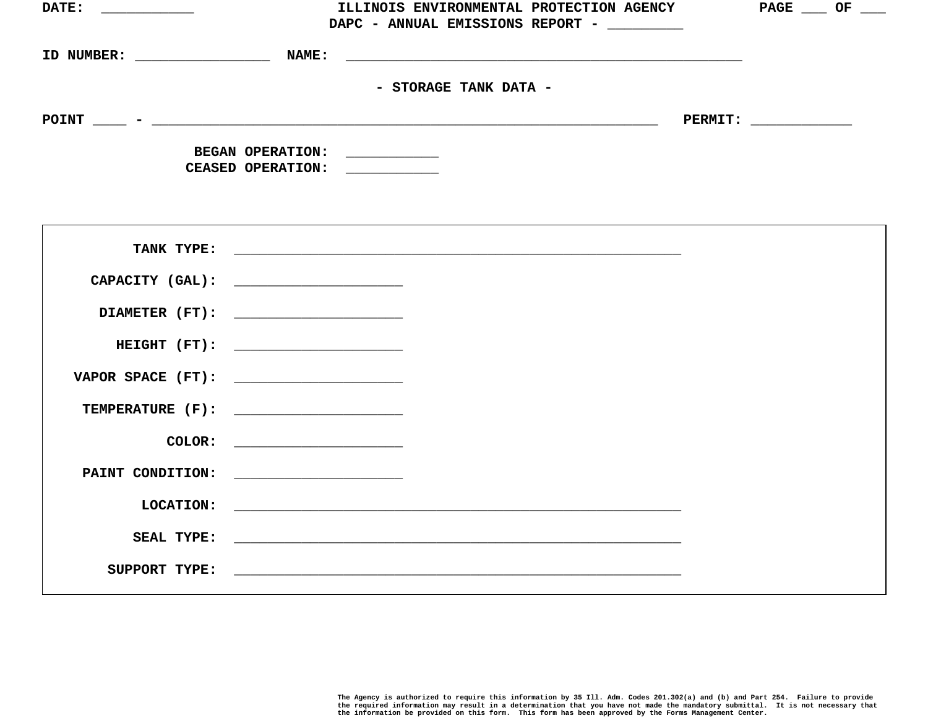| DATE: _____________                   |                               | ILLINOIS ENVIRONMENTAL PROTECTION AGENCY   | $PAGE \_\_\_OF \_\_\_$ |
|---------------------------------------|-------------------------------|--------------------------------------------|------------------------|
|                                       |                               | DAPC - ANNUAL EMISSIONS REPORT - _________ |                        |
|                                       |                               |                                            |                        |
|                                       |                               |                                            |                        |
|                                       |                               |                                            |                        |
|                                       |                               | - STORAGE TANK DATA -                      |                        |
|                                       |                               |                                            |                        |
|                                       |                               |                                            |                        |
|                                       | BEGAN OPERATION: ___________  |                                            |                        |
|                                       | CEASED OPERATION: ___________ |                                            |                        |
|                                       |                               |                                            |                        |
|                                       |                               |                                            |                        |
|                                       |                               |                                            |                        |
|                                       |                               |                                            |                        |
|                                       |                               |                                            |                        |
| CAPACITY (GAL): _____________________ |                               |                                            |                        |
|                                       |                               |                                            |                        |
|                                       |                               |                                            |                        |
|                                       | HEIGHT (FT):                  |                                            |                        |
|                                       |                               |                                            |                        |
|                                       |                               |                                            |                        |
|                                       |                               |                                            |                        |
|                                       |                               |                                            |                        |
|                                       |                               |                                            |                        |
|                                       |                               |                                            |                        |
|                                       |                               |                                            |                        |
|                                       |                               |                                            |                        |
|                                       |                               |                                            |                        |
|                                       |                               |                                            |                        |
|                                       |                               |                                            |                        |
|                                       |                               |                                            |                        |
|                                       |                               |                                            |                        |